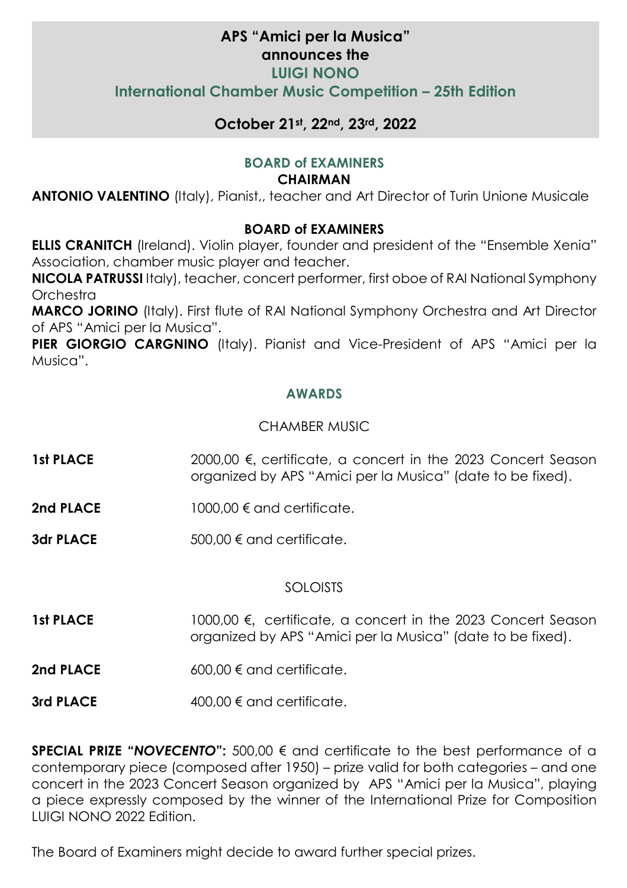## **APS "Amici per la Musica" announces the LUIGI NONO International Chamber Music Competition – 25th Edition**

### **October 21st, 22nd, 23rd, 2022**

#### **BOARD of EXAMINERS**

#### **CHAIRMAN**

**ANTONIO VALENTINO** (Italy), Pianist,, teacher and Art Director of Turin Unione Musicale

#### **BOARD of EXAMINERS**

**ELLIS CRANITCH** (Ireland). Violin player, founder and president of the "Ensemble Xenia" Association, chamber music player and teacher.

**NICOLA PATRUSSI** Italy), teacher, concert performer, first oboe of RAI National Symphony Orchestra

**MARCO JORINO** (Italy). First flute of RAI National Symphony Orchestra and Art Director of APS "Amici per la Musica".

**PIER GIORGIO CARGNINO** (Italy). Pianist and Vice-President of APS "Amici per la Musica".

#### **AWARDS**

#### CHAMBER MUSIC

- **1st PLACE** 2000,00 €, certificate, a concert in the 2023 Concert Season organized by APS "Amici per la Musica" (date to be fixed).
- **2nd PLACE** 1000,00 € and certificate
- **3dr PLACE** 500,00 € and certificate.

#### SOLOISTS

- **1st PLACE** 1000,00 €, certificate, a concert in the 2023 Concert Season organized by APS "Amici per la Musica" (date to be fixed).
- **2nd PLACE** 600,00 € and certificate.
- **3rd PLACE** 400,00 € and certificate.

**SPECIAL PRIZE "***NOVECENTO***":** 500,00 € and certificate to the best performance of a contemporary piece (composed after 1950) – prize valid for both categories – and one concert in the 2023 Concert Season organized by APS "Amici per la Musica", playing a piece expressly composed by the winner of the International Prize for Composition LUIGI NONO 2022 Edition.

The Board of Examiners might decide to award further special prizes.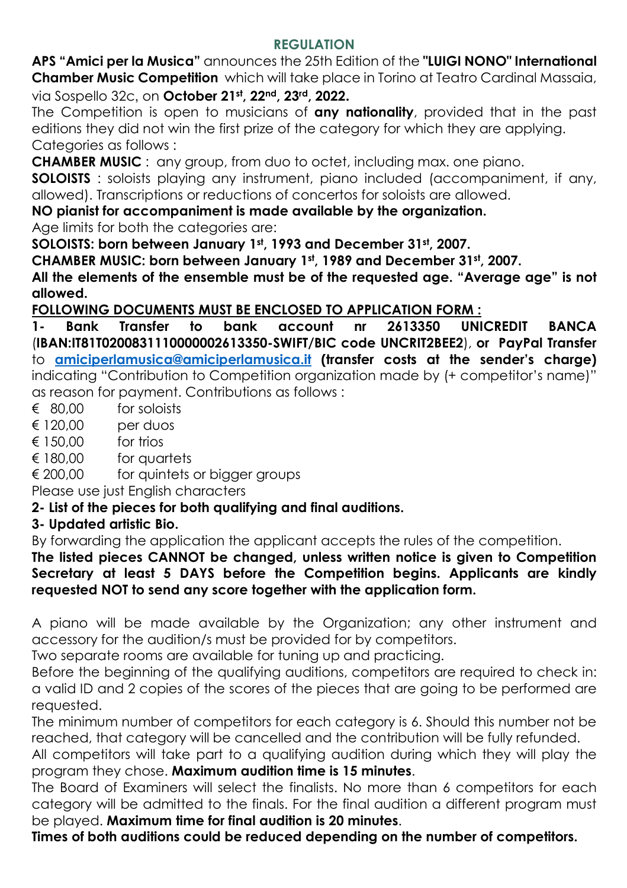### **REGULATION**

**APS "Amici per la Musica"** announces the 25th Edition of the **"LUIGI NONO" International Chamber Music Competition** which will take place in Torino at Teatro Cardinal Massaia, via Sospello 32c, on **October 21st, 22nd, 23rd, 2022.** 

The Competition is open to musicians of **any nationality**, provided that in the past editions they did not win the first prize of the category for which they are applying. Categories as follows :

**CHAMBER MUSIC** : any group, from duo to octet, including max. one piano.

**SOLOISTS** : soloists playing any instrument, piano included (accompaniment, if any, allowed). Transcriptions or reductions of concertos for soloists are allowed.

**NO pianist for accompaniment is made available by the organization.** 

Age limits for both the categories are:

**SOLOISTS: born between January 1st, 1993 and December 31st, 2007.** 

**CHAMBER MUSIC: born between January 1st, 1989 and December 31st, 2007.** 

**All the elements of the ensemble must be of the requested age. "Average age" is not allowed.** 

**FOLLOWING DOCUMENTS MUST BE ENCLOSED TO APPLICATION FORM :** 

**1- Bank Transfer to bank account nr 2613350 UNICREDIT BANCA**  (**IBAN:IT81T0200831110000002613350-SWIFT/BIC code UNCRIT2BEE2**), **or PayPal Transfer**  to **amiciperlamusica@amiciperlamusica.it (transfer costs at the sender's charge)**  indicating "Contribution to Competition organization made by (+ competitor's name)" as reason for payment. Contributions as follows :

- € 80,00 for soloists
- $£ 120,00$  per duos
- $\epsilon$  150.00 for trios
- € 180,00 for quartets
- € 200,00 for quintets or bigger groups

Please use just English characters

# **2- List of the pieces for both qualifying and final auditions.**

# **3- Updated artistic Bio.**

By forwarding the application the applicant accepts the rules of the competition.

**The listed pieces CANNOT be changed, unless written notice is given to Competition Secretary at least 5 DAYS before the Competition begins. Applicants are kindly requested NOT to send any score together with the application form.** 

A piano will be made available by the Organization; any other instrument and accessory for the audition/s must be provided for by competitors.

Two separate rooms are available for tuning up and practicing.

Before the beginning of the qualifying auditions, competitors are required to check in: a valid ID and 2 copies of the scores of the pieces that are going to be performed are requested.

The minimum number of competitors for each category is 6. Should this number not be reached, that category will be cancelled and the contribution will be fully refunded.

All competitors will take part to a qualifying audition during which they will play the program they chose. **Maximum audition time is 15 minutes**.

The Board of Examiners will select the finalists. No more than 6 competitors for each category will be admitted to the finals. For the final audition a different program must be played. **Maximum time for final audition is 20 minutes**.

**Times of both auditions could be reduced depending on the number of competitors.**